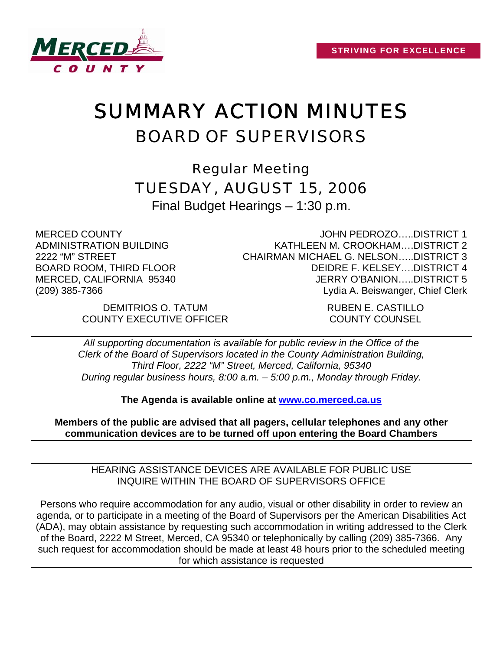

# SUMMARY ACTION MINUTES BOARD OF SUPERVISORS

Regular Meeting TUESDAY, AUGUST 15, 2006

Final Budget Hearings – 1:30 p.m.

MERCED COUNTY ADMINISTRATION BUILDING 2222 "M" STREET BOARD ROOM, THIRD FLOOR MERCED, CALIFORNIA 95340 (209) 385-7366

JOHN PEDROZO…..DISTRICT 1 KATHLEEN M. CROOKHAM….DISTRICT 2 CHAIRMAN MICHAEL G. NELSON…..DISTRICT 3 DEIDRE F. KELSEY….DISTRICT 4 JERRY O'BANION…..DISTRICT 5 Lydia A. Beiswanger, Chief Clerk

DEMITRIOS O. TATUM RUBEN E. CASTILLO COUNTY EXECUTIVE OFFICER COUNTY COUNSEL

*All supporting documentation is available for public review in the Office of the Clerk of the Board of Supervisors located in the County Administration Building, Third Floor, 2222 "M" Street, Merced, California, 95340 During regular business hours, 8:00 a.m. – 5:00 p.m., Monday through Friday.* 

**The Agenda is available online at [www.co.merced.ca.us](http://www.co.merced.ca.us/)**

**Members of the public are advised that all pagers, cellular telephones and any other communication devices are to be turned off upon entering the Board Chambers**

HEARING ASSISTANCE DEVICES ARE AVAILABLE FOR PUBLIC USE INQUIRE WITHIN THE BOARD OF SUPERVISORS OFFICE

Persons who require accommodation for any audio, visual or other disability in order to review an agenda, or to participate in a meeting of the Board of Supervisors per the American Disabilities Act (ADA), may obtain assistance by requesting such accommodation in writing addressed to the Clerk of the Board, 2222 M Street, Merced, CA 95340 or telephonically by calling (209) 385-7366. Any such request for accommodation should be made at least 48 hours prior to the scheduled meeting for which assistance is requested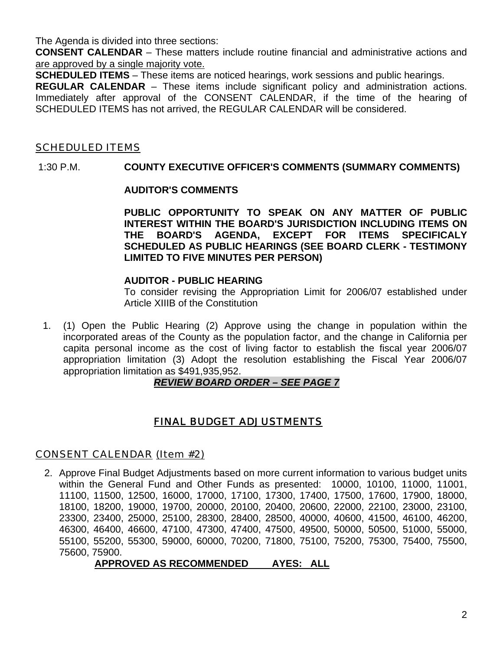The Agenda is divided into three sections:

**CONSENT CALENDAR** – These matters include routine financial and administrative actions and are approved by a single majority vote.

**SCHEDULED ITEMS** – These items are noticed hearings, work sessions and public hearings.

**REGULAR CALENDAR** – These items include significant policy and administration actions. Immediately after approval of the CONSENT CALENDAR, if the time of the hearing of SCHEDULED ITEMS has not arrived, the REGULAR CALENDAR will be considered.

# SCHEDULED ITEMS

#### 1:30 P.M. **COUNTY EXECUTIVE OFFICER'S COMMENTS (SUMMARY COMMENTS)**

#### **AUDITOR'S COMMENTS**

**PUBLIC OPPORTUNITY TO SPEAK ON ANY MATTER OF PUBLIC INTEREST WITHIN THE BOARD'S JURISDICTION INCLUDING ITEMS ON THE BOARD'S AGENDA, EXCEPT FOR ITEMS SPECIFICALY SCHEDULED AS PUBLIC HEARINGS (SEE BOARD CLERK - TESTIMONY LIMITED TO FIVE MINUTES PER PERSON)** 

#### **AUDITOR - PUBLIC HEARING**

To consider revising the Appropriation Limit for 2006/07 established under Article XIIIB of the Constitution

1. (1) Open the Public Hearing (2) Approve using the change in population within the incorporated areas of the County as the population factor, and the change in California per capita personal income as the cost of living factor to establish the fiscal year 2006/07 appropriation limitation (3) Adopt the resolution establishing the Fiscal Year 2006/07 appropriation limitation as \$491,935,952.

## *REVIEW BOARD ORDER – SEE PAGE 7*

# FINAL BUDGET ADJUSTMENTS

## CONSENT CALENDAR (Item #2)

2. Approve Final Budget Adjustments based on more current information to various budget units within the General Fund and Other Funds as presented: 10000, 10100, 11000, 11001, 11100, 11500, 12500, 16000, 17000, 17100, 17300, 17400, 17500, 17600, 17900, 18000, 18100, 18200, 19000, 19700, 20000, 20100, 20400, 20600, 22000, 22100, 23000, 23100, 23300, 23400, 25000, 25100, 28300, 28400, 28500, 40000, 40600, 41500, 46100, 46200, 46300, 46400, 46600, 47100, 47300, 47400, 47500, 49500, 50000, 50500, 51000, 55000, 55100, 55200, 55300, 59000, 60000, 70200, 71800, 75100, 75200, 75300, 75400, 75500, 75600, 75900.

## **APPROVED AS RECOMMENDED AYES: ALL**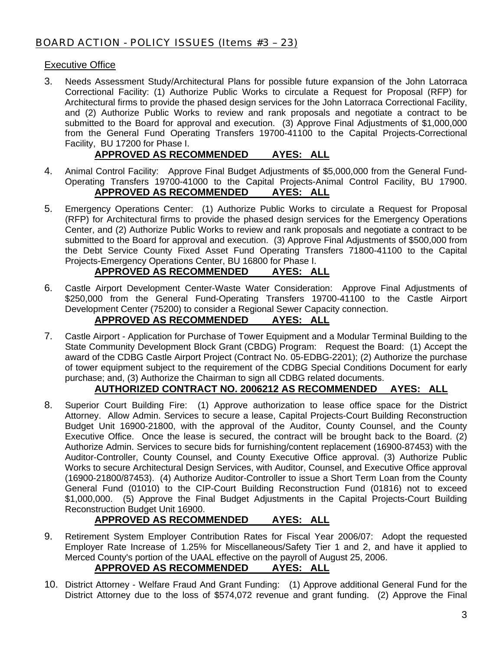# BOARD ACTION - POLICY ISSUES (Items #3 – 23)

## Executive Office

3. Needs Assessment Study/Architectural Plans for possible future expansion of the John Latorraca Correctional Facility: (1) Authorize Public Works to circulate a Request for Proposal (RFP) for Architectural firms to provide the phased design services for the John Latorraca Correctional Facility, and (2) Authorize Public Works to review and rank proposals and negotiate a contract to be submitted to the Board for approval and execution. (3) Approve Final Adjustments of \$1,000,000 from the General Fund Operating Transfers 19700-41100 to the Capital Projects-Correctional Facility, BU 17200 for Phase I.

# **APPROVED AS RECOMMENDED AYES: ALL**

- 4. Animal Control Facility: Approve Final Budget Adjustments of \$5,000,000 from the General Fund-Operating Transfers 19700-41000 to the Capital Projects-Animal Control Facility, BU 17900. **APPROVED AS RECOMMENDED AYES: ALL**
- 5. Emergency Operations Center: (1) Authorize Public Works to circulate a Request for Proposal (RFP) for Architectural firms to provide the phased design services for the Emergency Operations Center, and (2) Authorize Public Works to review and rank proposals and negotiate a contract to be submitted to the Board for approval and execution. (3) Approve Final Adjustments of \$500,000 from the Debt Service County Fixed Asset Fund Operating Transfers 71800-41100 to the Capital Projects-Emergency Operations Center, BU 16800 for Phase I.

# **APPROVED AS RECOMMENDED AYES: ALL**

6. Castle Airport Development Center-Waste Water Consideration: Approve Final Adjustments of \$250,000 from the General Fund-Operating Transfers 19700-41100 to the Castle Airport Development Center (75200) to consider a Regional Sewer Capacity connection.

# **APPROVED AS RECOMMENDED AYES: ALL**

7. Castle Airport - Application for Purchase of Tower Equipment and a Modular Terminal Building to the State Community Development Block Grant (CBDG) Program: Request the Board: (1) Accept the award of the CDBG Castle Airport Project (Contract No. 05-EDBG-2201); (2) Authorize the purchase of tower equipment subject to the requirement of the CDBG Special Conditions Document for early purchase; and, (3) Authorize the Chairman to sign all CDBG related documents.

# **AUTHORIZED CONTRACT NO. 2006212 AS RECOMMENDED AYES: ALL**

8. Superior Court Building Fire: (1) Approve authorization to lease office space for the District Attorney. Allow Admin. Services to secure a lease, Capital Projects-Court Building Reconstruction Budget Unit 16900-21800, with the approval of the Auditor, County Counsel, and the County Executive Office. Once the lease is secured, the contract will be brought back to the Board. (2) Authorize Admin. Services to secure bids for furnishing/content replacement (16900-87453) with the Auditor-Controller, County Counsel, and County Executive Office approval. (3) Authorize Public Works to secure Architectural Design Services, with Auditor, Counsel, and Executive Office approval (16900-21800/87453). (4) Authorize Auditor-Controller to issue a Short Term Loan from the County General Fund (01010) to the CIP-Court Building Reconstruction Fund (01816) not to exceed \$1,000,000. (5) Approve the Final Budget Adjustments in the Capital Projects-Court Building Reconstruction Budget Unit 16900.

# **APPROVED AS RECOMMENDED AYES: ALL**

9. Retirement System Employer Contribution Rates for Fiscal Year 2006/07: Adopt the requested Employer Rate Increase of 1.25% for Miscellaneous/Safety Tier 1 and 2, and have it applied to Merced County's portion of the UAAL effective on the payroll of August 25, 2006.

# **APPROVED AS RECOMMENDED AYES: ALL**

10. District Attorney - Welfare Fraud And Grant Funding: (1) Approve additional General Fund for the District Attorney due to the loss of \$574,072 revenue and grant funding. (2) Approve the Final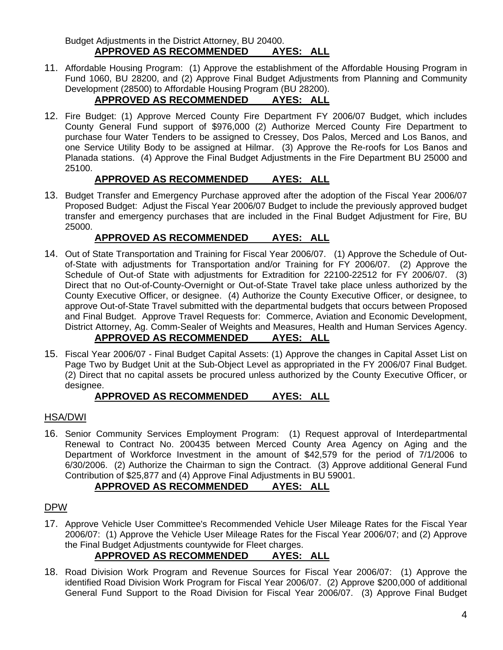Budget Adjustments in the District Attorney, BU 20400. **APPROVED AS RECOMMENDED AYES: ALL**

11. Affordable Housing Program: (1) Approve the establishment of the Affordable Housing Program in Fund 1060, BU 28200, and (2) Approve Final Budget Adjustments from Planning and Community Development (28500) to Affordable Housing Program (BU 28200).

# **APPROVED AS RECOMMENDED AYES: ALL**

12. Fire Budget: (1) Approve Merced County Fire Department FY 2006/07 Budget, which includes County General Fund support of \$976,000 (2) Authorize Merced County Fire Department to purchase four Water Tenders to be assigned to Cressey, Dos Palos, Merced and Los Banos, and one Service Utility Body to be assigned at Hilmar. (3) Approve the Re-roofs for Los Banos and Planada stations. (4) Approve the Final Budget Adjustments in the Fire Department BU 25000 and 25100.

# **APPROVED AS RECOMMENDED AYES: ALL**

13. Budget Transfer and Emergency Purchase approved after the adoption of the Fiscal Year 2006/07 Proposed Budget: Adjust the Fiscal Year 2006/07 Budget to include the previously approved budget transfer and emergency purchases that are included in the Final Budget Adjustment for Fire, BU 25000.

# **APPROVED AS RECOMMENDED AYES: ALL**

- 14. Out of State Transportation and Training for Fiscal Year 2006/07. (1) Approve the Schedule of Outof-State with adjustments for Transportation and/or Training for FY 2006/07. (2) Approve the Schedule of Out-of State with adjustments for Extradition for 22100-22512 for FY 2006/07. (3) Direct that no Out-of-County-Overnight or Out-of-State Travel take place unless authorized by the County Executive Officer, or designee. (4) Authorize the County Executive Officer, or designee, to approve Out-of-State Travel submitted with the departmental budgets that occurs between Proposed and Final Budget. Approve Travel Requests for: Commerce, Aviation and Economic Development, District Attorney, Ag. Comm-Sealer of Weights and Measures, Health and Human Services Agency. **APPROVED AS RECOMMENDED AYES: ALL**
- 15. Fiscal Year 2006/07 Final Budget Capital Assets: (1) Approve the changes in Capital Asset List on Page Two by Budget Unit at the Sub-Object Level as appropriated in the FY 2006/07 Final Budget. (2) Direct that no capital assets be procured unless authorized by the County Executive Officer, or designee.

# **APPROVED AS RECOMMENDED AYES: ALL**

## HSA/DWI

16. Senior Community Services Employment Program: (1) Request approval of Interdepartmental Renewal to Contract No. 200435 between Merced County Area Agency on Aging and the Department of Workforce Investment in the amount of \$42,579 for the period of 7/1/2006 to 6/30/2006. (2) Authorize the Chairman to sign the Contract. (3) Approve additional General Fund Contribution of \$25,877 and (4) Approve Final Adjustments in BU 59001.

# **APPROVED AS RECOMMENDED AYES: ALL**

## DPW

17. Approve Vehicle User Committee's Recommended Vehicle User Mileage Rates for the Fiscal Year 2006/07: (1) Approve the Vehicle User Mileage Rates for the Fiscal Year 2006/07; and (2) Approve the Final Budget Adjustments countywide for Fleet charges.

# **APPROVED AS RECOMMENDED AYES: ALL**

18. Road Division Work Program and Revenue Sources for Fiscal Year 2006/07: (1) Approve the identified Road Division Work Program for Fiscal Year 2006/07. (2) Approve \$200,000 of additional General Fund Support to the Road Division for Fiscal Year 2006/07. (3) Approve Final Budget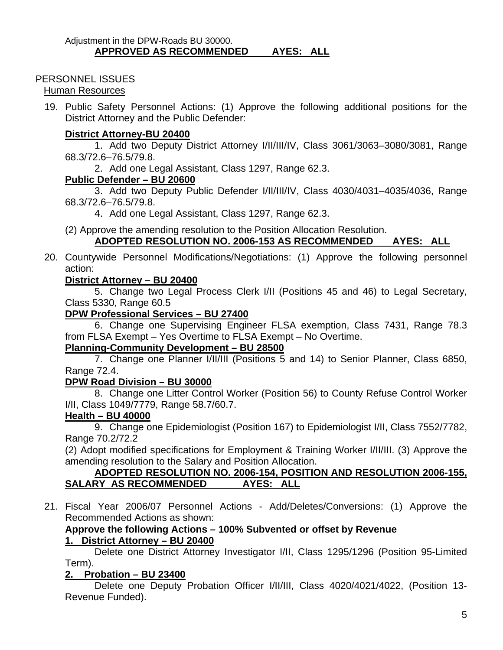# PERSONNEL ISSUES

## Human Resources

19. Public Safety Personnel Actions: (1) Approve the following additional positions for the District Attorney and the Public Defender:

# **District Attorney-BU 20400**

 1. Add two Deputy District Attorney I/II/III/IV, Class 3061/3063–3080/3081, Range 68.3/72.6–76.5/79.8.

2. Add one Legal Assistant, Class 1297, Range 62.3.

# **Public Defender – BU 20600**

 3. Add two Deputy Public Defender I/II/III/IV, Class 4030/4031–4035/4036, Range 68.3/72.6–76.5/79.8.

4. Add one Legal Assistant, Class 1297, Range 62.3.

 (2) Approve the amending resolution to the Position Allocation Resolution. **ADOPTED RESOLUTION NO. 2006-153 AS RECOMMENDED AYES: ALL**

20. Countywide Personnel Modifications/Negotiations: (1) Approve the following personnel action:

# **District Attorney – BU 20400**

 5. Change two Legal Process Clerk I/II (Positions 45 and 46) to Legal Secretary, Class 5330, Range 60.5

# **DPW Professional Services – BU 27400**

 6. Change one Supervising Engineer FLSA exemption, Class 7431, Range 78.3 from FLSA Exempt – Yes Overtime to FLSA Exempt – No Overtime.

# **Planning-Community Development – BU 28500**

 7. Change one Planner I/II/III (Positions 5 and 14) to Senior Planner, Class 6850, Range 72.4.

# **DPW Road Division – BU 30000**

 8. Change one Litter Control Worker (Position 56) to County Refuse Control Worker I/II, Class 1049/7779, Range 58.7/60.7.

# **Health – BU 40000**

 9. Change one Epidemiologist (Position 167) to Epidemiologist I/II, Class 7552/7782, Range 70.2/72.2

(2) Adopt modified specifications for Employment & Training Worker I/II/III. (3) Approve the amending resolution to the Salary and Position Allocation.

# **ADOPTED RESOLUTION NO. 2006-154, POSITION AND RESOLUTION 2006-155, SALARY AS RECOMMENDED AYES: ALL**

21. Fiscal Year 2006/07 Personnel Actions - Add/Deletes/Conversions: (1) Approve the Recommended Actions as shown:

## **Approve the following Actions – 100% Subvented or offset by Revenue 1. District Attorney – BU 20400**

 Delete one District Attorney Investigator I/II, Class 1295/1296 (Position 95-Limited Term).

# **2. Probation – BU 23400**

 Delete one Deputy Probation Officer I/II/III, Class 4020/4021/4022, (Position 13- Revenue Funded).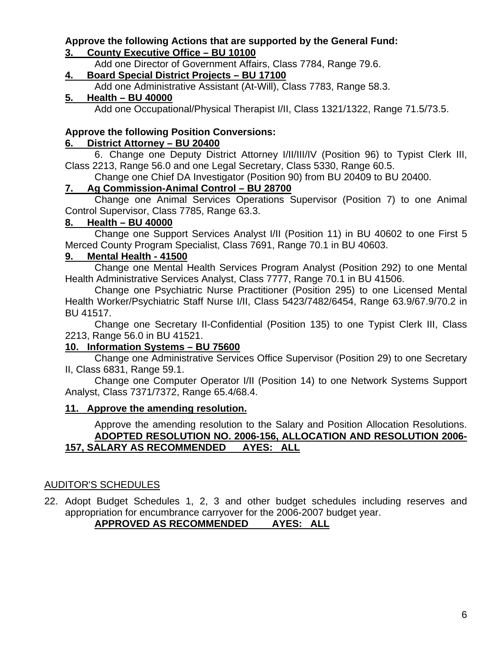#### **Approve the following Actions that are supported by the General Fund: 3. County Executive Office – BU 10100**

- Add one Director of Government Affairs, Class 7784, Range 79.6.
- **4. Board Special District Projects BU 17100**

Add one Administrative Assistant (At-Will), Class 7783, Range 58.3.

# **5. Health – BU 40000**

Add one Occupational/Physical Therapist I/II, Class 1321/1322, Range 71.5/73.5.

# **Approve the following Position Conversions:**

## **6. District Attorney – BU 20400**

 6. Change one Deputy District Attorney I/II/III/IV (Position 96) to Typist Clerk III, Class 2213, Range 56.0 and one Legal Secretary, Class 5330, Range 60.5.

Change one Chief DA Investigator (Position 90) from BU 20409 to BU 20400.

## **7. Ag Commission-Animal Control – BU 28700**

 Change one Animal Services Operations Supervisor (Position 7) to one Animal Control Supervisor, Class 7785, Range 63.3.

## **8. Health – BU 40000**

 Change one Support Services Analyst I/II (Position 11) in BU 40602 to one First 5 Merced County Program Specialist, Class 7691, Range 70.1 in BU 40603.

## **9. Mental Health - 41500**

 Change one Mental Health Services Program Analyst (Position 292) to one Mental Health Administrative Services Analyst, Class 7777, Range 70.1 in BU 41506.

 Change one Psychiatric Nurse Practitioner (Position 295) to one Licensed Mental Health Worker/Psychiatric Staff Nurse I/II, Class 5423/7482/6454, Range 63.9/67.9/70.2 in BU 41517.

 Change one Secretary II-Confidential (Position 135) to one Typist Clerk III, Class 2213, Range 56.0 in BU 41521.

# **10. Information Systems – BU 75600**

 Change one Administrative Services Office Supervisor (Position 29) to one Secretary II, Class 6831, Range 59.1.

 Change one Computer Operator I/II (Position 14) to one Network Systems Support Analyst, Class 7371/7372, Range 65.4/68.4.

# **11. Approve the amending resolution.**

#### Approve the amending resolution to the Salary and Position Allocation Resolutions. **ADOPTED RESOLUTION NO. 2006-156, ALLOCATION AND RESOLUTION 2006- 157, SALARY AS RECOMMENDED AYES: ALL**

# AUDITOR'S SCHEDULES

22. Adopt Budget Schedules 1, 2, 3 and other budget schedules including reserves and appropriation for encumbrance carryover for the 2006-2007 budget year.

# **APPROVED AS RECOMMENDED AYES: ALL**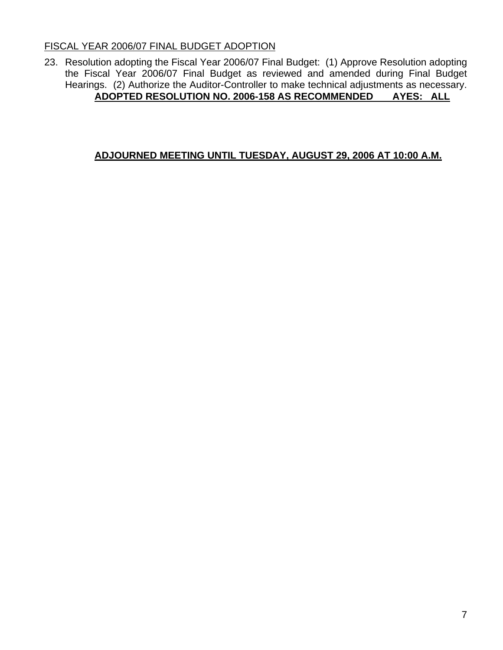## FISCAL YEAR 2006/07 FINAL BUDGET ADOPTION

23. Resolution adopting the Fiscal Year 2006/07 Final Budget: (1) Approve Resolution adopting the Fiscal Year 2006/07 Final Budget as reviewed and amended during Final Budget Hearings. (2) Authorize the Auditor-Controller to make technical adjustments as necessary. **ADOPTED RESOLUTION NO. 2006-158 AS RECOMMENDED AYES: ALL**

# **ADJOURNED MEETING UNTIL TUESDAY, AUGUST 29, 2006 AT 10:00 A.M.**